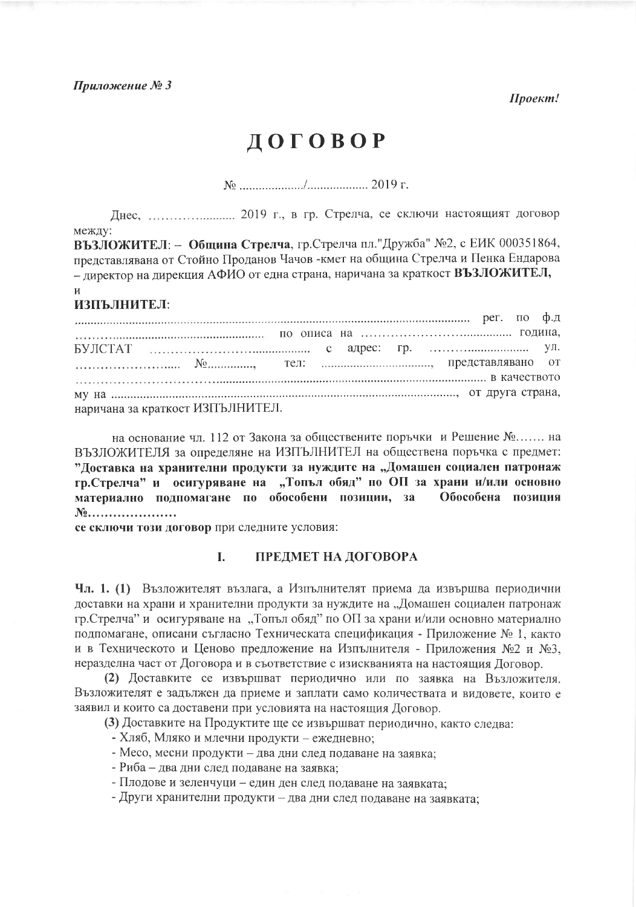Проект!

# ДОГОВОР

между:

ВЪЗЛОЖИТЕЛ: - Община Стрелча, гр. Стрелча пл. "Дружба" №2, с ЕИК 000351864, представлявана от Стойно Проданов Чачов - кмет на община Стрелча и Пенка Ендарова – директор на дирекция АФИО от една страна, наричана за краткост ВЪЗЛОЖИТЕЛ,  $\overline{M}$ 

# ИЗПЪЛНИТЕЛ:

| $\ldots$ рег. по $\phi$ .д                                              |  |  |  |  |  |
|-------------------------------------------------------------------------|--|--|--|--|--|
|                                                                         |  |  |  |  |  |
|                                                                         |  |  |  |  |  |
| представлявано № Молининин, тел: пиниципинининининин, представлявано от |  |  |  |  |  |
|                                                                         |  |  |  |  |  |
|                                                                         |  |  |  |  |  |
| наричана за краткост ИЗПЪЛНИТЕЛ.                                        |  |  |  |  |  |

на основание чл. 112 от Закона за обществените поръчки и Решение №....... на ВЪЗЛОЖИТЕЛЯ за определяне на ИЗПЪЛНИТЕЛ на обществена поръчка с предмет: "Доставка на хранителни продукти за нуждите на "Домашен социален патронаж гр. Стрелча" и осигуряване на "Топъл обяд" по ОП за храни и/или основно материално подпомагане по обособени позиции, за Обособена позиция  $N_2$ ......................

се сключи този договор при следните условия:

#### L. ПРЕДМЕТ НА ДОГОВОРА

Чл. 1. (1) Възложителят възлага, а Изпълнителят приема да извършва периодични доставки на храни и хранителни продукти за нуждите на "Домашен социален патронаж гр. Стрелча" и осигуряване на "Топъл обяд" по ОП за храни и/или основно материално подпомагане, описани съгласно Техническата спецификация - Приложение № 1, както и в Техническото и Ценово предложение на Изпълнителя - Приложения №2 и №3, неразделна част от Договора и в съответствие с изискванията на настоящия Договор.

(2) Доставките се извършват периодично или по заявка на Възложителя. Възложителят е задължен да приеме и заплати само количествата и видовете, които е заявил и които са доставени при условията на настоящия Договор.

(3) Доставките на Продуктите ще се извършват периодично, както следва:

- Хляб, Мляко и млечни продукти - ежедневно;

- Месо, месни продукти - два дни след подаване на заявка:

- Риба - два дни след подаване на заявка:

- Плодове и зеленчуци – един ден след подаване на заявката;

- Други хранителни продукти - два дни след подаване на заявката;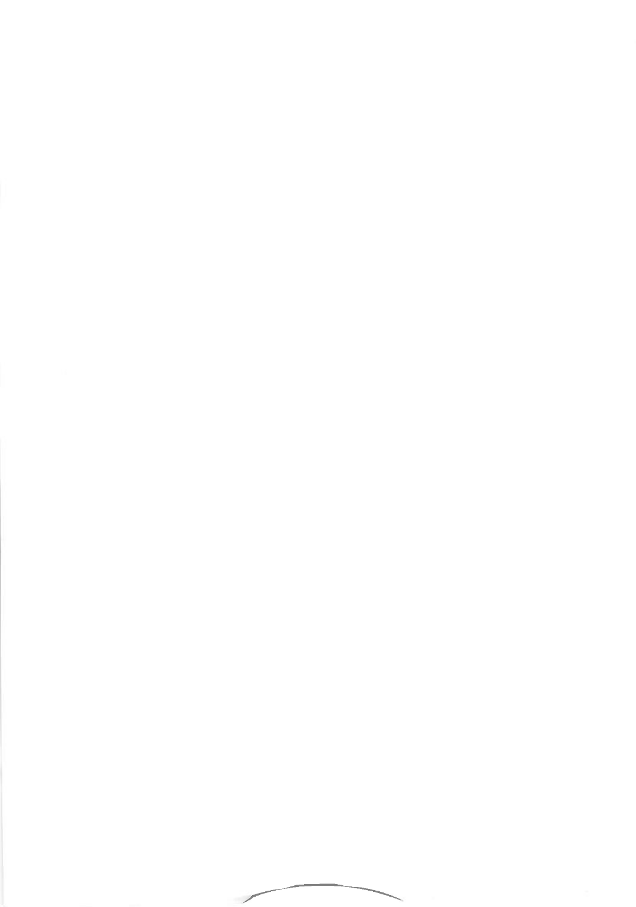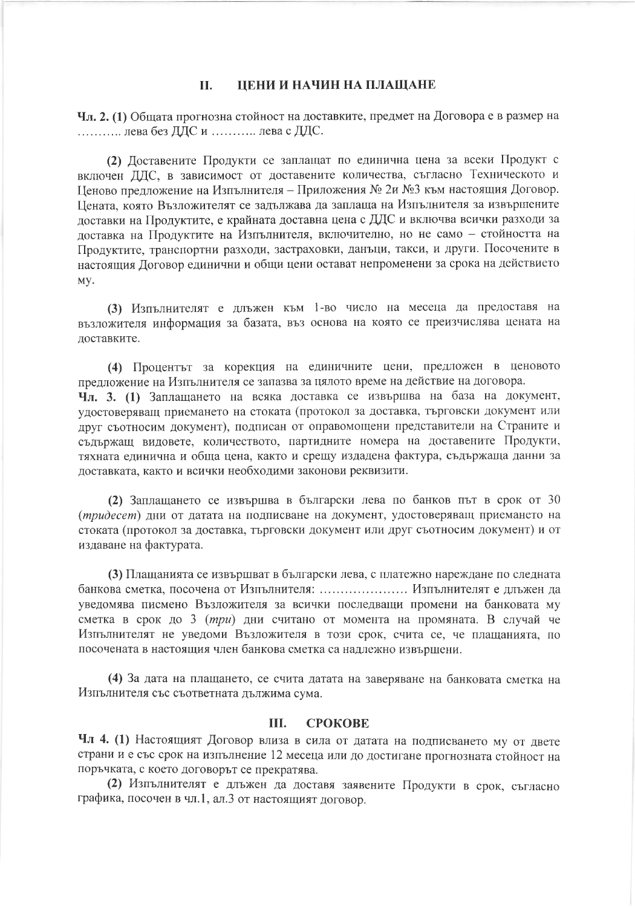#### ПЕНИ И НАЧИН НА ПЛАЩАНЕ **II.**

Чл. 2. (1) Общата прогнозна стойност на доставките, предмет на Договора е в размер на ............ лева без ДДС и ............ лева с ДДС.

(2) Доставените Продукти се заплащат по единична цена за всеки Продукт с включен ДДС, в зависимост от доставените количества, съгласно Техническото и Пеново предложение на Изпълнителя – Приложения № 2и №3 към настоящия Договор. Цената, която Възложителят се задължава да заплаща на Изпълнителя за извършените доставки на Продуктите, е крайната доставна цена с ДДС и включва всички разходи за доставка на Продуктите на Изпълнителя, включително, но не само - стойността на Продуктите, транспортни разходи, застраховки, данъци, такси, и други. Посочените в настоящия Договор единични и общи цени остават непроменени за срока на действието MV.

(3) Изпълнителят е длъжен към 1-во число на месеца да предоставя на възложителя информация за базата, въз основа на която се преизчислява цената на доставките.

(4) Процентът за корекция на единичните цени, предложен в ценовото предложение на Изпълнителя се запазва за цялото време на действие на договора. Чл. 3. (1) Заплащането на всяка доставка се извършва на база на документ, удостоверяващ приемането на стоката (протокол за доставка, търговски документ или друг съотносим документ), подписан от оправомощени представители на Страните и съдържащ видовете, количеството, партидните номера на доставените Продукти, тяхната единична и обща цена, както и срещу издадена фактура, съдържаща данни за

(2) Заплащането се извършва в български лева по банков път в срок от 30 (тридесет) дни от датата на подписване на документ, удостоверяващ приемането на стоката (протокол за доставка, търговски документ или друг съотносим документ) и от издаване на фактурата.

доставката, както и всички необходими законови реквизити.

(3) Плащанията се извършват в български лева, с платежно нареждане по следната банкова сметка, посочена от Изпълнителя: ..................... Изпълнителят е длъжен да уведомява писмено Възложителя за всички последващи промени на банковата му сметка в срок до 3 (три) дни считано от момента на промяната. В случай че Изпълнителят не уведоми Възложителя в този срок, счита се, че плащанията, по посочената в настоящия член банкова сметка са надлежно извършени.

(4) За дата на плащането, се счита датата на заверяване на банковата сметка на Изпълнителя със съответната дължима сума.

#### Ш. **CPOKOBE**

Чл 4. (1) Настоящият Договор влиза в сила от датата на подписването му от двете страни и е със срок на изпълнение 12 месеца или до достигане прогнозната стойност на поръчката, с което договорът се прекратява.

(2) Изпълнителят е длъжен да доставя заявените Продукти в срок, съгласно графика, посочен в чл.1, ал.3 от настоящият договор.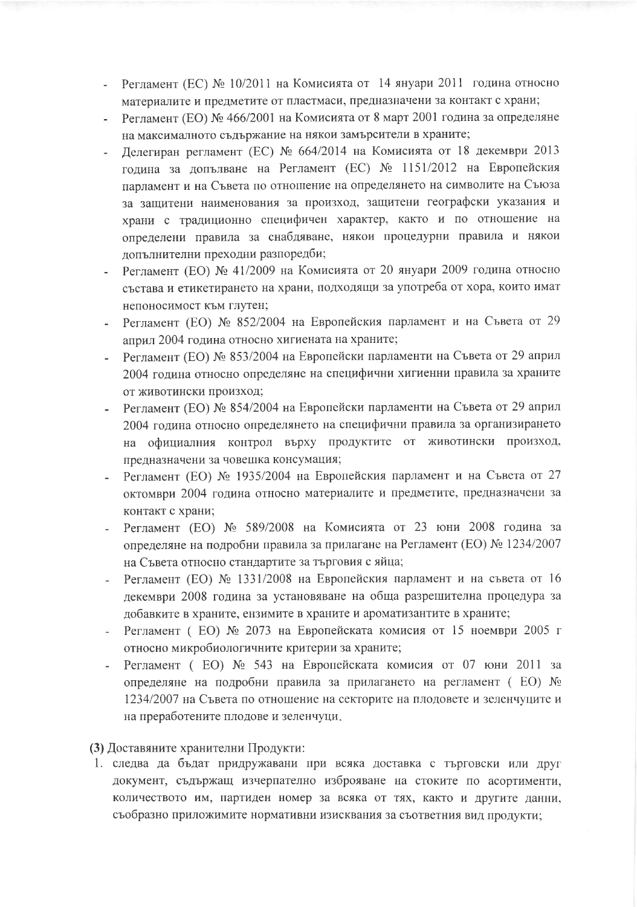- Регламент (ЕС) № 10/2011 на Комисията от 14 януари 2011 година относно материалите и предметите от пластмаси, предназначени за контакт с храни;
- Регламент (ЕО) № 466/2001 на Комисията от 8 март 2001 година за определяне на максималното съдържание на някои замърсители в храните;
- Делегиран регламент (ЕС) № 664/2014 на Комисията от 18 декември 2013 година за допълване на Регламент (ЕС) № 1151/2012 на Европейския парламент и на Съвета по отношение на определянето на символите на Съюза за защитени наименования за произход, защитени географски указания и храни с традиционно специфичен характер, както и по отношение на определени правила за снабдяване, някои процедурни правила и някои допълнителни преходни разпоредби;
- Регламент (ЕО) № 41/2009 на Комисията от 20 януари 2009 година относно състава и етикетирането на храни, подходящи за употреба от хора, които имат непоносимост към глутен;
- Регламент (ЕО) № 852/2004 на Европейския парламент и на Съвета от 29  $\frac{1}{2}$ април 2004 година относно хигиената на храните;
- Регламент (ЕО) № 853/2004 на Европейски парламенти на Съвета от 29 април  $\blacksquare$ 2004 година относно определяне на специфични хигиенни правила за храните от животински произход;
- Регламент (ЕО) № 854/2004 на Европейски парламенти на Съвета от 29 април  $\frac{1}{2}$ 2004 година относно определянето на специфични правила за организирането на официалния контрол върху продуктите от животински произход, предназначени за човешка консумация;
- Регламент (ЕО) № 1935/2004 на Европейския парламент и на Съвета от 27 октомври 2004 година относно материалите и предметите, предназначени за контакт с храни;
- Регламент (ЕО) № 589/2008 на Комисията от 23 юни 2008 година за  $\overline{a}$ определяне на подробни правила за прилагане на Регламент (ЕО) № 1234/2007 на Съвета относно стандартите за търговия с яйца;
- Регламент (ЕО) № 1331/2008 на Европейския парламент и на съвета от 16 декември 2008 година за установяване на обща разрешителна процедура за добавките в храните, ензимите в храните и ароматизантите в храните;
- Регламент (ЕО) № 2073 на Европейската комисия от 15 ноември 2005 г относно микробиологичните критерии за храните;
- Регламент (ЕО) № 543 на Европейската комисия от 07 юни 2011 за определяне на подробни правила за прилагането на регламент (ЕО) № 1234/2007 на Съвета по отношение на секторите на плодовете и зеленчуците и на преработените плодове и зеленчуци.

(3) Доставяните хранителни Продукти:

1. следва да бъдат придружавани при всяка доставка с търговски или друг документ, съдържащ изчерпателно изброяване на стоките по асортименти, количеството им, партиден номер за всяка от тях, както и другите данни, съобразно приложимите нормативни изисквания за съответния вид продукти;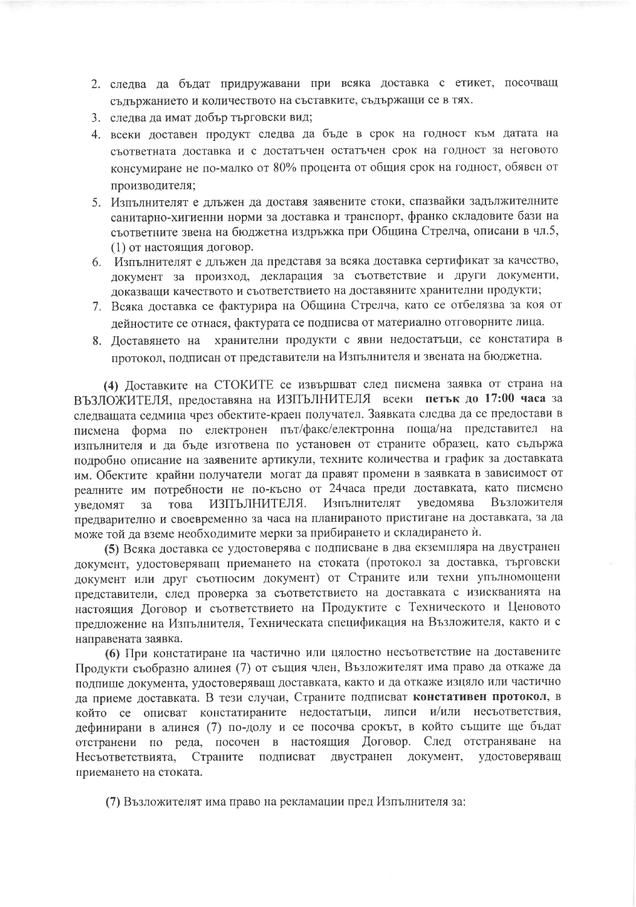- 2. следва да бъдат придружавани при всяка доставка с етикет, посочващ съдържанието и количеството на съставките, съдържащи се в тях.
- 3. следва да имат добър търговски вид;
- 4. всеки доставен продукт следва да бъде в срок на годност към датата на съответната доставка и с достатьчен остатьчен срок на годност за неговото консумиране не по-малко от 80% процента от общия срок на годност, обявен от производителя;
- 5. Изпълнителят е длъжен да доставя заявените стоки, спазвайки задължителните санитарно-хигиенни норми за доставка и транспорт, франко складовите бази на съответните звена на бюджетна издръжка при Община Стрелча, описани в чл.5, (1) от настоящия договор.
- 6. Изпълнителят е длъжен да представя за всяка доставка сертификат за качество, документ за произход, декларация за съответствие и други документи, доказващи качеството и съответствието на доставяните хранителни продукти;
- 7. Всяка доставка се фактурира на Община Стрелча, като се отбелязва за коя от дейностите се отнася, фактурата се подписва от материално отговорните лица.
- 8. Доставянето на хранителни продукти с явни недостатъци, се констатира в протокол, подписан от представители на Изпълнителя и звената на бюджетна.

(4) Доставките на СТОКИТЕ се извършват след писмена заявка от страна на ВЪЗЛОЖИТЕЛЯ, предоставяна на ИЗПЪЛНИТЕЛЯ всеки петък до 17:00 часа за следващата седмица чрез обектите-краен получател. Заявката следва да се предостави в писмена форма по електронен път/факс/електронна поща/на представител на изпълнителя и да бъде изготвена по установен от страните образец, като съдържа подробно описание на заявените артикули, техните количества и график за доставката им. Обектите крайни получатели могат да правят промени в заявката в зависимост от реалните им потребности не по-късно от 24часа преди доставката, като писмено ИЗПЪЛНИТЕЛЯ. Изпълнителят уведомява Възложителя това уведомят за предварително и своевременно за часа на планираното пристигане на доставката, за да може той да вземе необходимите мерки за прибирането и складирането и.

(5) Всяка доставка се удостоверява с подписване в два екземпляра на двустранен документ, удостоверяващ приемането на стоката (протокол за доставка, търговски документ или друг съотносим документ) от Страните или техни упълномощени представители, след проверка за съответствието на доставката с изискванията на настоящия Договор и съответствието на Продуктите с Техническото и Ценовото предложение на Изпълнителя, Техническата спецификация на Възложителя, както и с направената заявка.

(6) При констатиране на частично или цялостно несъответствие на доставените Продукти съобразно алинея (7) от същия член, Възложителят има право да откаже да подпише документа, удостоверяващ доставката, както и да откаже изцяло или частично да приеме доставката. В тези случаи, Страните подписват констативен протокол, в който се описват констатираните недостатьци, липси и/или несъответствия, дефинирани в алинея (7) по-долу и се посочва срокът, в който същите ще бъдат отстранени по реда, посочен в настоящия Договор. След отстраняване на Несъответствията, Страните подписват двустранен документ, удостоверяващ приемането на стоката.

(7) Възложителят има право на рекламации пред Изпълнителя за: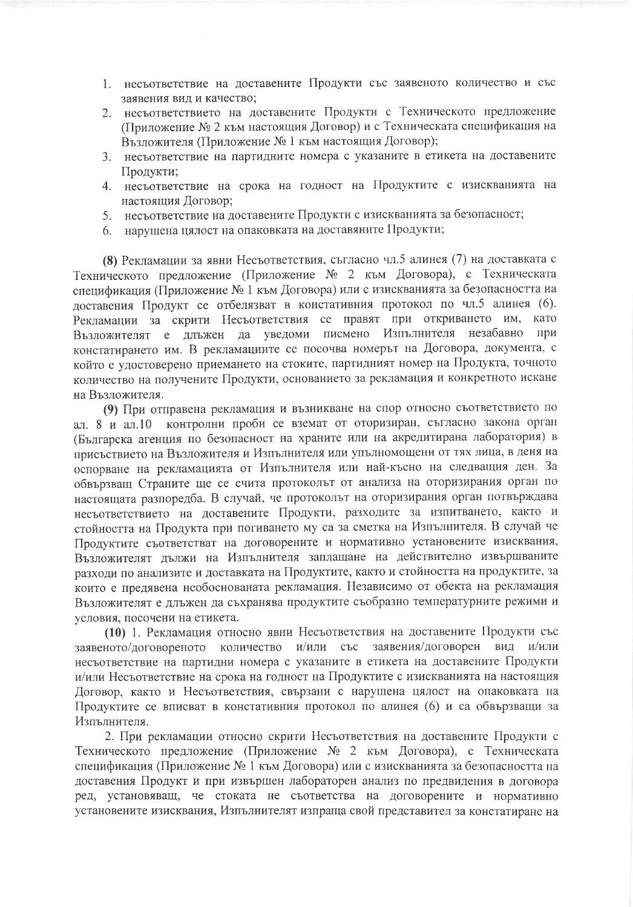- 1. несъответствие на доставените Продукти със заявеното количество и със заявения вид и качество;
- 2. несъответствието на доставените Продукти с Техническото предложение (Приложение № 2 към настоящия Договор) и с Техническата спецификация на Възложителя (Приложение № 1 към настоящия Договор);
- 3. несъответствие на партидните номера с указаните в етикета на доставените Продукти;
- 4. несъответствие на срока на годност на Продуктите с изискванията на настоящия Договор;
- 5. несъответствие на доставените Продукти с изискванията за безопасност;
- 6. нарушена цялост на опаковката на доставяните Продукти;

(8) Рекламации за явни Несъответствия, съгласно чл.5 алинея (7) на доставката с Техническото предложение (Приложение № 2 към Договора), с Техническата спецификация (Приложение № 1 към Договора) или с изискванията за безопасността на доставения Продукт се отбелязват в констативния протокол по чл.5 алинея (6). Рекламации за скрити Несъответствия се правят при откриването им, като Възложителят е длъжен да уведоми писмено Изпълнителя незабавно при констатирането им. В рекламациите се посочва номерът на Договора, документа, с който е удостоверено приемането на стоките, партидният номер на Продукта, точното количество на получените Продукти, основанието за рекламация и конкретното искане на Възложителя.

(9) При отправена рекламация и възникване на спор относно съответствието по ал. 8 и ал.10 контролни проби се вземат от оторизиран, съгласно закона орган (Българска агенция по безопасност на храните или на акредитирана лаборатория) в присъствието на Възложителя и Изпълнителя или упълномощени от тях лица, в деня на оспорване на рекламацията от Изпълнителя или най-късно на следващия ден. За обвързващ Страните ще се счита протоколът от анализа на оторизирания орган по настоящата разпоредба. В случай, че протоколът на оторизирания орган потвърждава несъответствието на доставените Продукти, разходите за изпитването, както и стойността на Продукта при погиването му са за сметка на Изпълнителя. В случай че Продуктите съответстват на договорените и нормативно установените изисквания, Възложителят дължи на Изпълнителя заплащане на действително извършваните разходи по анализите и доставката на Продуктите, както и стойността на продуктите, за които е предявена необоснованата рекламация. Независимо от обекта на рекламация Възложителят е длъжен да съхранява продуктите съобразно температурните режими и условия, посочени на етикета.

(10) 1. Рекламация относно явни Несъответствия на доставените Продукти със заявеното/договореното количество и/или със заявения/договорен вид и/или несъответствие на партидни номера с указаните в етикета на доставените Продукти и/или Несъответствие на срока на годност на Продуктите с изискванията на настоящия Договор, както и Несъответствия, свързани с нарушена цялост на опаковката на Продуктите се вписват в констативния протокол по алинея (6) и са обвързващи за Изпълнителя.

2. При рекламации относно скрити Несъответствия на доставените Продукти с Техническото предложение (Приложение № 2 към Договора), с Техническата спецификация (Приложение № 1 към Договора) или с изискванията за безопасността на доставения Продукт и при извършен лабораторен анализ по предвидения в договора ред, установяващ, че стоката не съответства на договорените и нормативно установените изисквания, Изпълнителят изпраща свой представител за констатиране на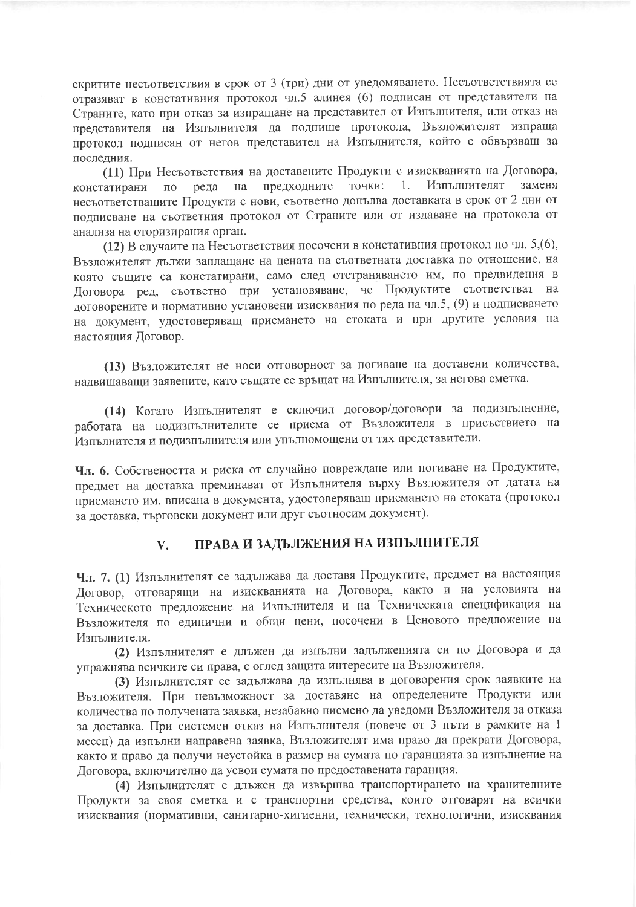скритите несъответствия в срок от 3 (три) дни от уведомяването. Несъответствията се отразяват в констативния протокол чл.5 алинея (6) подписан от представители на Страните, като при отказ за изпращане на представител от Изпълнителя, или отказ на представителя на Изпълнителя да подпише протокола, Възложителят изпраща протокол подписан от негов представител на Изпълнителя, който е обвързващ за последния.

(11) При Несъответствия на доставените Продукти с изискванията на Договора, реда на предходните точки: 1. Изпълнителят заменя констатирани по несъответстваните Продукти с нови, съответно допълва доставката в срок от 2 дни от подписване на съответния протокол от Страните или от издаване на протокола от анализа на оторизирания орган.

(12) В случаите на Несъответствия посочени в констативния протокол по чл. 5, (6), Възложителят дължи заплащане на цената на съответната доставка по отношение, на която същите са констатирани, само след отстраняването им, по предвидения в Договора ред, съответно при установяване, че Продуктите съответстват на договорените и нормативно установени изисквания по реда на чл.5, (9) и подписването на документ, удостоверяващ приемането на стоката и при другите условия на настоящия Договор.

(13) Възложителят не носи отговорност за погиване на доставени количества, надвишаващи заявените, като същите се връщат на Изпълнителя, за негова сметка.

(14) Когато Изпълнителят е сключил договор/договори за подизпълнение, работата на подизиълнителите се приема от Възложителя в присъствието на Изпълнителя и подизпълнителя или упълномощени от тях представители.

Чл. 6. Собствеността и риска от случайно повреждане или погиване на Продуктите, предмет на доставка преминават от Изпълнителя върху Възложителя от датата на приемането им, вписана в документа, удостоверяващ приемането на стоката (протокол за доставка, търговски документ или друг съотносим документ).

#### ПРАВА И ЗАДЪЛЖЕНИЯ НА ИЗПЪЛНИТЕЛЯ  $V_{\cdot}$

Чл. 7. (1) Изпълнителят се задължава да доставя Продуктите, предмет на настоящия Договор, отговарящи на изискванията на Договора, както и на условията на Техническото предложение на Изпълнителя и на Техническата спецификация на Възложителя по единични и общи цени, посочени в Ценовото предложение на Изпълнителя.

(2) Изпълнителят е длъжен да изпълни задълженията си по Договора и да упражнява всичките си права, с оглед защита интересите на Възложителя.

(3) Изпълнителят се задължава да изпълнява в договорения срок заявките на Възложителя. При невъзможност за доставяне на определените Продукти или количества по получената заявка, незабавно писмено да уведоми Възложителя за отказа за доставка. При системен отказ на Изпълнителя (повече от 3 пъти в рамките на 1 месец) да изпълни направена заявка, Възложителят има право да прекрати Договора, както и право да получи неустойка в размер на сумата по гаранцията за изпълнение на Договора, включително да усвои сумата по предоставената гаранция.

(4) Изпълнителят е длъжен да извършва транспортирането на хранителните Продукти за своя сметка и с транспортни средства, които отговарят на всички изисквания (нормативни, санитарно-хигиенни, технически, технологични, изисквания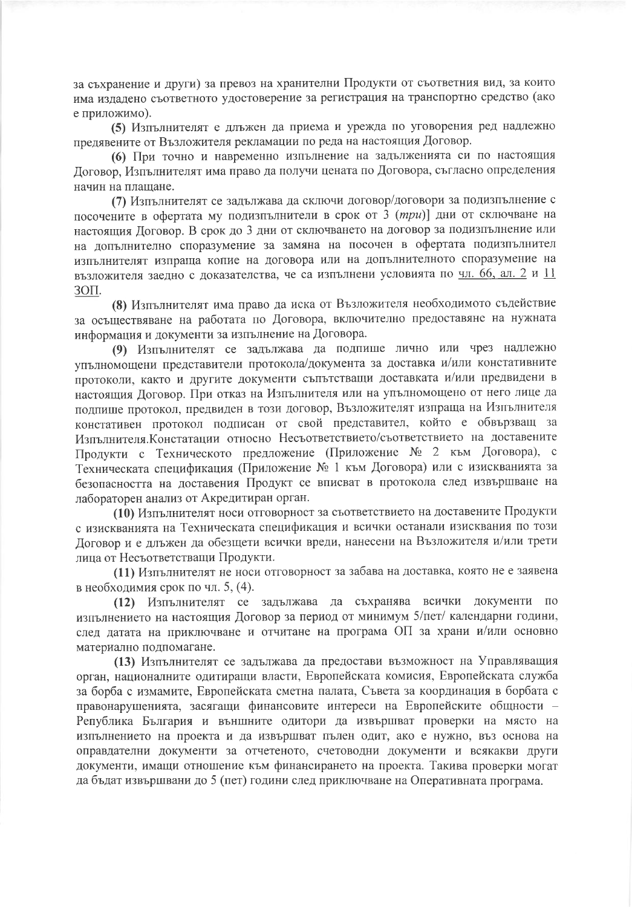за съхранение и други) за превоз на хранителни Продукти от съответния вид, за които има издадено съответното удостоверение за регистрация на транспортно средство (ако е приложимо).

(5) Изпълнителят е длъжен да приема и урежда по уговорения ред надлежно предявените от Възложителя рекламации по реда на настоящия Договор.

(6) При точно и навременно изпълнение на задълженията си по настоящия Договор, Изпълнителят има право да получи цената по Договора, съгласно определения начин на плащане.

(7) Изпълнителят се задължава да сключи договор/договори за подизпълнение с посочените в офертата му подизпълнители в срок от 3 (три)] дни от сключване на настоящия Договор. В срок до 3 дни от сключването на договор за подизпълнение или на допълнително споразумение за замяна на посочен в офертата подизпълнител изпълнителят изпраща копие на договора или на допълнителното споразумение на възложителя заедно с доказателства, че са изпълнени условията по чл. 66, ал. 2 и 11 **ЗОП.** 

(8) Изпълнителят има право да иска от Възложителя необходимото съдействие за осъществяване на работата по Договора, включително предоставяне на нужната информация и документи за изпълнение на Договора.

(9) Изпълнителят се задължава да подпише лично или чрез надлежно упълномощени представители протокола/документа за доставка и/или констативните протоколи, както и другите документи съпътстващи доставката и/или предвидени в настоящия Договор. При отказ на Изпълнителя или на упълномощено от него лице да подпише протокол, предвиден в този договор, Възложителят изпраща на Изпълнителя констативен протокол подписан от свой представител, който е обвързващ за Изпълнителя. Констатации относно Несъответствието/съответствието на доставените Продукти с Техническото предложение (Приложение № 2 към Договора), с Техническата спецификация (Приложение № 1 към Договора) или с изискванията за безопасността на доставения Продукт се вписват в протокола след извършване на лабораторен анализ от Акредитиран орган.

(10) Изпълнителят носи отговорност за съответствието на доставените Продукти с изискванията на Техническата спецификация и всички останали изисквания по този Договор и е длъжен да обезщети всички вреди, нанесени на Възложителя и/или трети лица от Несъответстващи Продукти.

(11) Изпълнителят не носи отговорност за забава на доставка, която не е заявена в необходимия срок по чл. 5, (4).

(12) Изпълнителят се задължава да съхранява всички документи по изпълнението на настоящия Договор за период от минимум 5/пет/ календарни години, след датата на приключване и отчитане на програма ОП за храни и/или основно материално подпомагане.

(13) Изпълнителят се задължава да предостави възможност на Управляващия орган, националните одитиращи власти, Европейската комисия, Европейската служба за борба с измамите, Европейската сметна палата, Съвета за координация в борбата с правонарушенията, засягащи финансовите интереси на Европейските общности -Република България и външните одитори да извършват проверки на място на изпълнението на проекта и да извършват пълен одит, ако е нужно, въз основа на оправдателни документи за отчетеното, счетоводни документи и всякакви други документи, имащи отношение към финансирането на проекта. Такива проверки могат да бъдат извършвани до 5 (пет) години след приключване на Оперативната програма.